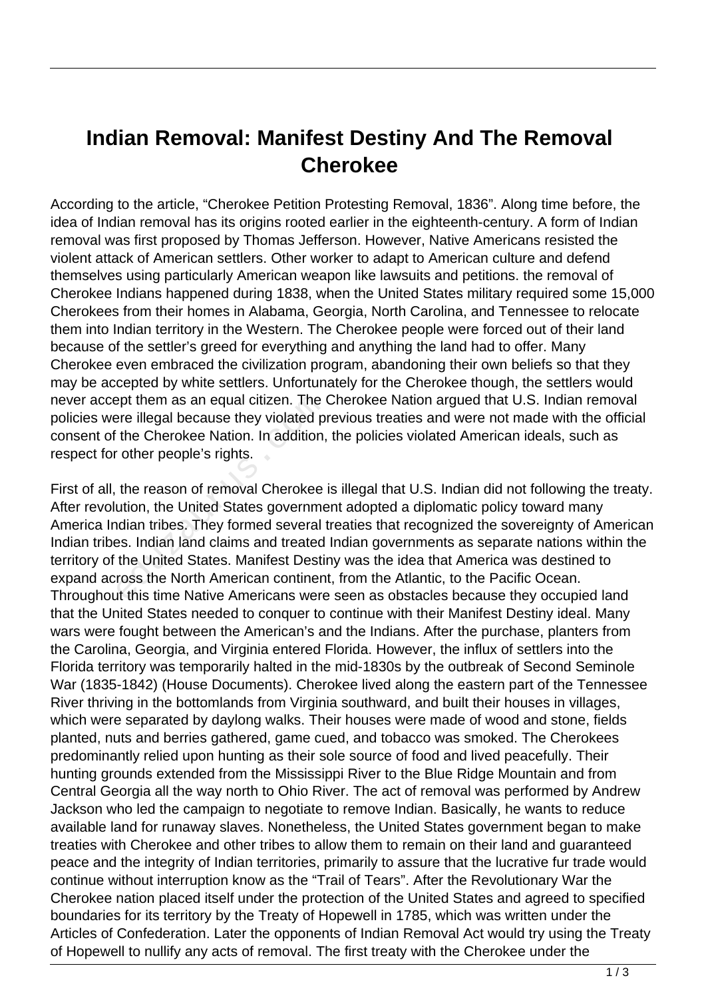## **Indian Removal: Manifest Destiny And The Removal Cherokee**

According to the article, "Cherokee Petition Protesting Removal, 1836". Along time before, the idea of Indian removal has its origins rooted earlier in the eighteenth-century. A form of Indian removal was first proposed by Thomas Jefferson. However, Native Americans resisted the violent attack of American settlers. Other worker to adapt to American culture and defend themselves using particularly American weapon like lawsuits and petitions. the removal of Cherokee Indians happened during 1838, when the United States military required some 15,000 Cherokees from their homes in Alabama, Georgia, North Carolina, and Tennessee to relocate them into Indian territory in the Western. The Cherokee people were forced out of their land because of the settler's greed for everything and anything the land had to offer. Many Cherokee even embraced the civilization program, abandoning their own beliefs so that they may be accepted by white settlers. Unfortunately for the Cherokee though, the settlers would never accept them as an equal citizen. The Cherokee Nation argued that U.S. Indian removal policies were illegal because they violated previous treaties and were not made with the official consent of the Cherokee Nation. In addition, the policies violated American ideals, such as respect for other people's rights.

First of all, the reason of removal Cherokee is illegal that U.S. Indian did not following the treaty. After revolution, the United States government adopted a diplomatic policy toward many America Indian tribes. They formed several treaties that recognized the sovereignty of American Indian tribes. Indian land claims and treated Indian governments as separate nations within the territory of the United States. Manifest Destiny was the idea that America was destined to expand across the North American continent, from the Atlantic, to the Pacific Ocean. Throughout this time Native Americans were seen as obstacles because they occupied land that the United States needed to conquer to continue with their Manifest Destiny ideal. Many wars were fought between the American's and the Indians. After the purchase, planters from the Carolina, Georgia, and Virginia entered Florida. However, the influx of settlers into the Florida territory was temporarily halted in the mid-1830s by the outbreak of Second Seminole War (1835-1842) (House Documents). Cherokee lived along the eastern part of the Tennessee River thriving in the bottomlands from Virginia southward, and built their houses in villages, which were separated by daylong walks. Their houses were made of wood and stone, fields planted, nuts and berries gathered, game cued, and tobacco was smoked. The Cherokees predominantly relied upon hunting as their sole source of food and lived peacefully. Their hunting grounds extended from the Mississippi River to the Blue Ridge Mountain and from Central Georgia all the way north to Ohio River. The act of removal was performed by Andrew Jackson who led the campaign to negotiate to remove Indian. Basically, he wants to reduce available land for runaway slaves. Nonetheless, the United States government began to make treaties with Cherokee and other tribes to allow them to remain on their land and guaranteed peace and the integrity of Indian territories, primarily to assure that the lucrative fur trade would continue without interruption know as the "Trail of Tears". After the Revolutionary War the Cherokee nation placed itself under the protection of the United States and agreed to specified boundaries for its territory by the Treaty of Hopewell in 1785, which was written under the Articles of Confederation. Later the opponents of Indian Removal Act would try using the Treaty of Hopewell to nullify any acts of removal. The first treaty with the Cherokee under the ept them as an equal citizen. The original because they violated p<br>the Cherokee Nation. In addition,<br>ther people's rights.<br>the reason of removal Cherokee<br>ution, the United States governme<br>idian tribes. They formed several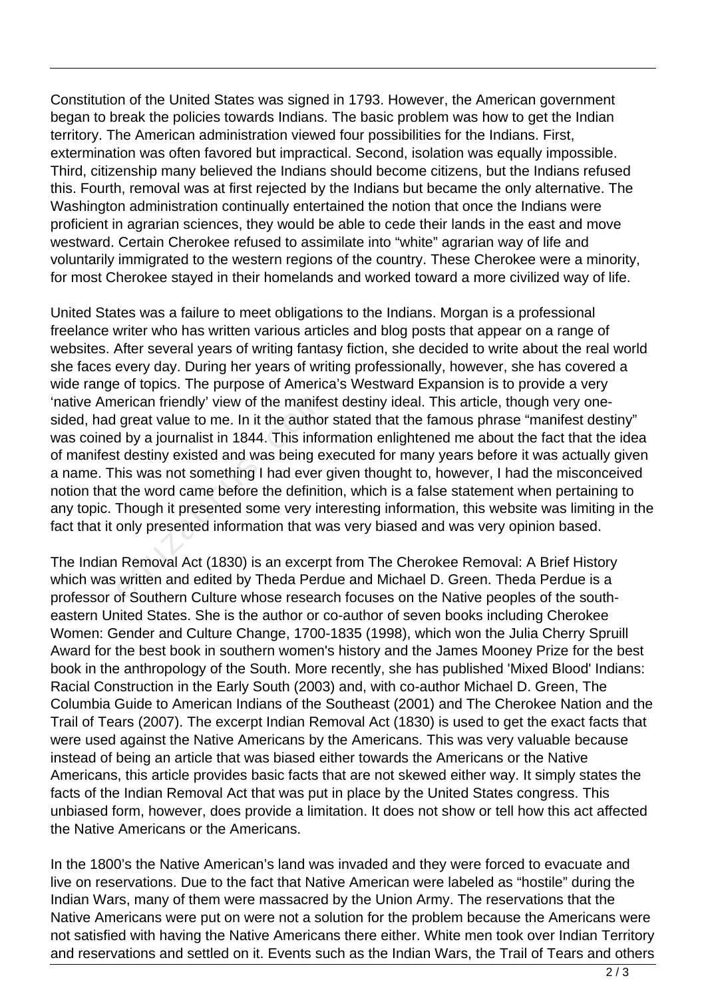Constitution of the United States was signed in 1793. However, the American government began to break the policies towards Indians. The basic problem was how to get the Indian territory. The American administration viewed four possibilities for the Indians. First, extermination was often favored but impractical. Second, isolation was equally impossible. Third, citizenship many believed the Indians should become citizens, but the Indians refused this. Fourth, removal was at first rejected by the Indians but became the only alternative. The Washington administration continually entertained the notion that once the Indians were proficient in agrarian sciences, they would be able to cede their lands in the east and move westward. Certain Cherokee refused to assimilate into "white" agrarian way of life and voluntarily immigrated to the western regions of the country. These Cherokee were a minority, for most Cherokee stayed in their homelands and worked toward a more civilized way of life.

United States was a failure to meet obligations to the Indians. Morgan is a professional freelance writer who has written various articles and blog posts that appear on a range of websites. After several years of writing fantasy fiction, she decided to write about the real world she faces every day. During her years of writing professionally, however, she has covered a wide range of topics. The purpose of America's Westward Expansion is to provide a very 'native American friendly' view of the manifest destiny ideal. This article, though very onesided, had great value to me. In it the author stated that the famous phrase "manifest destiny" was coined by a journalist in 1844. This information enlightened me about the fact that the idea of manifest destiny existed and was being executed for many years before it was actually given a name. This was not something I had ever given thought to, however, I had the misconceived notion that the word came before the definition, which is a false statement when pertaining to any topic. Though it presented some very interesting information, this website was limiting in the fact that it only presented information that was very biased and was very opinion based. erican friendly' view of the manife<br>great value to me. In it the author<br>d by a journalist in 1844. This infor<br>t destiny existed and was being e:<br>his was not something I had ever<br>the word came before the definiti<br>Though it

The Indian Removal Act (1830) is an excerpt from The Cherokee Removal: A Brief History which was written and edited by Theda Perdue and Michael D. Green. Theda Perdue is a professor of Southern Culture whose research focuses on the Native peoples of the southeastern United States. She is the author or co-author of seven books including Cherokee Women: Gender and Culture Change, 1700-1835 (1998), which won the Julia Cherry Spruill Award for the best book in southern women's history and the James Mooney Prize for the best book in the anthropology of the South. More recently, she has published 'Mixed Blood' Indians: Racial Construction in the Early South (2003) and, with co-author Michael D. Green, The Columbia Guide to American Indians of the Southeast (2001) and The Cherokee Nation and the Trail of Tears (2007). The excerpt Indian Removal Act (1830) is used to get the exact facts that were used against the Native Americans by the Americans. This was very valuable because instead of being an article that was biased either towards the Americans or the Native Americans, this article provides basic facts that are not skewed either way. It simply states the facts of the Indian Removal Act that was put in place by the United States congress. This unbiased form, however, does provide a limitation. It does not show or tell how this act affected the Native Americans or the Americans.

In the 1800's the Native American's land was invaded and they were forced to evacuate and live on reservations. Due to the fact that Native American were labeled as "hostile" during the Indian Wars, many of them were massacred by the Union Army. The reservations that the Native Americans were put on were not a solution for the problem because the Americans were not satisfied with having the Native Americans there either. White men took over Indian Territory and reservations and settled on it. Events such as the Indian Wars, the Trail of Tears and others